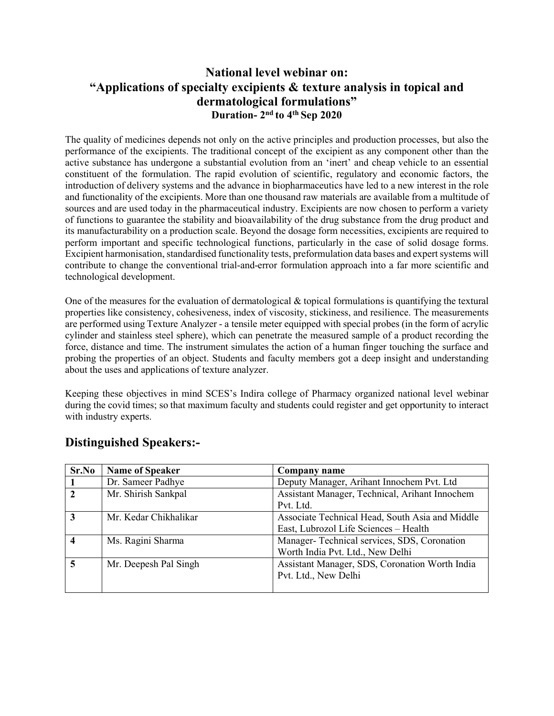## **National level webinar on: "Applications of specialty excipients & texture analysis in topical and dermatological formulations" Duration- 2nd to 4th Sep 2020**

The quality of medicines depends not only on the active principles and production processes, but also the performance of the excipients. The traditional concept of the excipient as any component other than the active substance has undergone a substantial evolution from an 'inert' and cheap vehicle to an essential constituent of the formulation. The rapid evolution of scientific, regulatory and economic factors, the introduction of delivery systems and the advance in biopharmaceutics have led to a new interest in the role and functionality of the excipients. More than one thousand raw materials are available from a multitude of sources and are used today in the pharmaceutical industry. Excipients are now chosen to perform a variety of functions to guarantee the stability and bioavailability of the drug substance from the drug product and its manufacturability on a production scale. Beyond the dosage form necessities, excipients are required to perform important and specific technological functions, particularly in the case of solid dosage forms. Excipient harmonisation, standardised functionality tests, preformulation data bases and expert systems will contribute to change the conventional trial-and-error formulation approach into a far more scientific and technological development.

One of the measures for the evaluation of dermatological  $\&$  topical formulations is quantifying the textural properties like consistency, cohesiveness, index of viscosity, stickiness, and resilience. The measurements are performed using Texture Analyzer - a tensile meter equipped with special probes (in the form of acrylic cylinder and stainless steel sphere), which can penetrate the measured sample of a product recording the force, distance and time. The instrument simulates the action of a human finger touching the surface and probing the properties of an object. Students and faculty members got a deep insight and understanding about the uses and applications of texture analyzer.

Keeping these objectives in mind SCES's Indira college of Pharmacy organized national level webinar during the covid times; so that maximum faculty and students could register and get opportunity to interact with industry experts.

| Sr.No        | <b>Name of Speaker</b> | Company name                                    |
|--------------|------------------------|-------------------------------------------------|
|              | Dr. Sameer Padhye      | Deputy Manager, Arihant Innochem Pvt. Ltd       |
| $\mathbf{2}$ | Mr. Shirish Sankpal    | Assistant Manager, Technical, Arihant Innochem  |
|              |                        | Pvt. Ltd.                                       |
| 3            | Mr. Kedar Chikhalikar  | Associate Technical Head, South Asia and Middle |
|              |                        | East, Lubrozol Life Sciences - Health           |
|              | Ms. Ragini Sharma      | Manager-Technical services, SDS, Coronation     |
|              |                        | Worth India Pvt. Ltd., New Delhi                |
| 5            | Mr. Deepesh Pal Singh  | Assistant Manager, SDS, Coronation Worth India  |
|              |                        | Pvt. Ltd., New Delhi                            |
|              |                        |                                                 |

## **Distinguished Speakers:-**